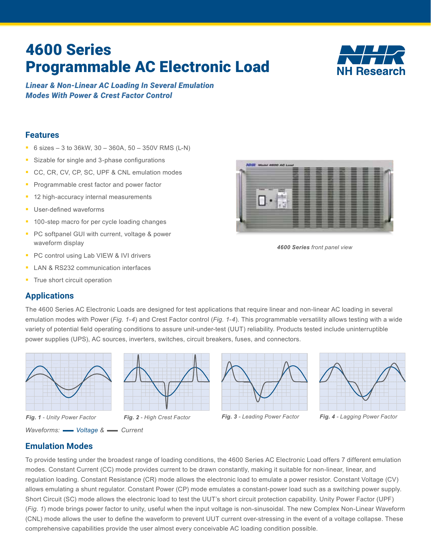# 4600 Series Programmable AC Electronic Load



*Linear & Non-Linear AC Loading In Several Emulation Modes With Power & Crest Factor Control*

## **Features**

- 6 sizes 3 to 36kW,  $30 360A$ ,  $50 350V$  RMS (L-N)
- Sizable for single and 3-phase configurations
- CC, CR, CV, CP, SC, UPF & CNL emulation modes
- **Programmable crest factor and power factor**
- <sup>1</sup> 12 high-accuracy internal measurements
- **User-defined waveforms**
- <sup>1</sup> 100-step macro for per cycle loading changes
- **PC softpanel GUI with current, voltage & power** waveform display
- **PC control using Lab VIEW & IVI drivers**
- **LAN & RS232 communication interfaces**
- **True short circuit operation**

# **Applications**

п.

*4600 Series front panel view*

The 4600 Series AC Electronic Loads are designed for test applications that require linear and non-linear AC loading in several emulation modes with Power (*Fig. 1-4*) and Crest Factor control (*Fig. 1-4*). This programmable versatility allows testing with a wide variety of potential field operating conditions to assure unit-under-test (UUT) reliability. Products tested include uninterruptible power supplies (UPS), AC sources, inverters, switches, circuit breakers, fuses, and connectors.



*Waveforms:*  $\longrightarrow$  Voltage &  $\longrightarrow$  Current







*Fig. 1 - Unity Power Factor Fig. 2 - High Crest Factor Fig. 3 - Leading Power Factor Fig. 4 - Lagging Power Factor*

# **Emulation Modes**

To provide testing under the broadest range of loading conditions, the 4600 Series AC Electronic Load offers 7 different emulation modes. Constant Current (CC) mode provides current to be drawn constantly, making it suitable for non-linear, linear, and regulation loading. Constant Resistance (CR) mode allows the electronic load to emulate a power resistor. Constant Voltage (CV) allows emulating a shunt regulator. Constant Power (CP) mode emulates a constant-power load such as a switching power supply. Short Circuit (SC) mode allows the electronic load to test the UUT's short circuit protection capability. Unity Power Factor (UPF) (*Fig. 1*) mode brings power factor to unity, useful when the input voltage is non-sinusoidal. The new Complex Non-Linear Waveform (CNL) mode allows the user to define the waveform to prevent UUT current over-stressing in the event of a voltage collapse. These comprehensive capabilities provide the user almost every conceivable AC loading condition possible.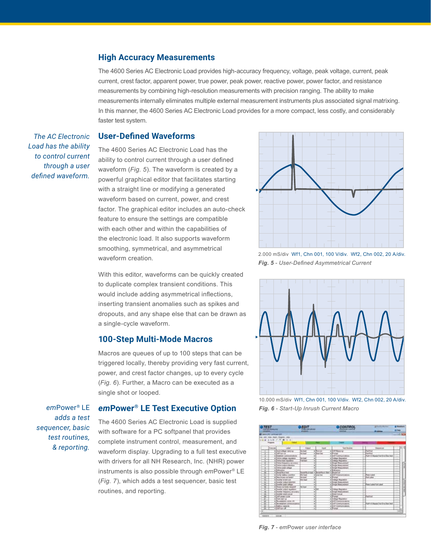#### **High Accuracy Measurements**

The 4600 Series AC Electronic Load provides high-accuracy frequency, voltage, peak voltage, current, peak current, crest factor, apparent power, true power, peak power, reactive power, power factor, and resistance measurements by combining high-resolution measurements with precision ranging. The ability to make measurements internally eliminates multiple external measurement instruments plus associated signal matrixing. In this manner, the 4600 Series AC Electronic Load provides for a more compact, less costly, and considerably faster test system.

*The AC Electronic Load has the ability to control current through a user defined waveform.*

#### **User-Defined Waveforms**

The 4600 Series AC Electronic Load has the ability to control current through a user defined waveform (*Fig. 5*). The waveform is created by a powerful graphical editor that facilitates starting with a straight line or modifying a generated waveform based on current, power, and crest factor. The graphical editor includes an auto-check feature to ensure the settings are compatible with each other and within the capabilities of the electronic load. It also supports waveform smoothing, symmetrical, and asymmetrical waveform creation.

With this editor, waveforms can be quickly created to duplicate complex transient conditions. This would include adding asymmetrical inflections, inserting transient anomalies such as spikes and dropouts, and any shape else that can be drawn as a single-cycle waveform.

#### **100-Step Multi-Mode Macros**

Macros are queues of up to 100 steps that can be triggered locally, thereby providing very fast current, power, and crest factor changes, up to every cycle (*Fig. 6*). Further, a Macro can be executed as a single shot or looped.

*em*Power® LE *adds a test sequencer, basic test routines, & reporting.*

#### *em***Power® LE Test Executive Option**

The 4600 Series AC Electronic Load is supplied with software for a PC softpanel that provides complete instrument control, measurement, and waveform display. Upgrading to a full test executive with drivers for all NH Research, Inc. (NHR) power instruments is also possible through *em*Power® LE (*Fig. 7*), which adds a test sequencer, basic test routines, and reporting.



*Fig. 5 - User-Defined Asymmetrical Current* 2.000 mS/div Wf1, Chn 001, 100 V/div. Wf2, Chn 002, 20 A/div.



*Fig. 6 - Start-Up Inrush Current Macro*

| <b>TEST</b><br>Last art books are                                                                                                                                                   | <b>EDIT</b><br><b>Charles and wide area</b><br>PUBLIC USE       |                                                                     | <b>CONTROL</b><br>m.                                                                                                   | <b>A Frank A France</b><br>--                                   | & Sunker<br><b>Million</b> |
|-------------------------------------------------------------------------------------------------------------------------------------------------------------------------------------|-----------------------------------------------------------------|---------------------------------------------------------------------|------------------------------------------------------------------------------------------------------------------------|-----------------------------------------------------------------|----------------------------|
| <b>Detaile with a fill</b><br><b>Tel: Stat Region vita</b><br>2001年5月7月7日<br><b><i><u><u><b>Transport</b></u></u></i></b>                                                           |                                                                 |                                                                     |                                                                                                                        |                                                                 | $-1688$                    |
| <b>Famous</b><br><b>SALE</b>                                                                                                                                                        | <b>Sidest</b>                                                   | trant                                                               | <b>Test Rooms</b>                                                                                                      | <b>Texastor</b>                                                 | Е                          |
| a post-sillage renoval<br>. SMT has not<br>· Estated communication<br>a Disting voltage rate agent<br>. Thru tool against<br>Time Emports accords<br><b>The County of President</b> | <b>Southern</b><br><b>Great</b><br><b>Grand</b><br><b>VETAX</b> | * Rene an<br>$-$ June 100<br>¥<br>٠<br>计计算                          | a Little Manager<br>. Freeze<br>+367 Containment<br><b>College Property</b><br>+ Tings Massacres<br>. Tonga Humanismus | <b>Warr</b> Fast<br>Vietna<br>art of Research at it is The land | Γń<br>п                    |
| a little post aftest<br>a little party<br>+ Back Back Ad<br>. Darily hallery taskilling<br>$\overline{\mathbf{H}}$                                                                  | <b>Blue Acade</b>                                               | ۰<br><b>Booth Line &amp; Boother But &amp; Booth of</b><br>a Louise | r Dingt Heaterson<br>+ Britannia<br>a Little Companions                                                                | <b>Park Labor</b>                                               |                            |
| 変<br>. This work on box?<br>. Double to least and<br>a counter school delayers<br>$\overline{1}$<br>a Donald Jose college.                                                          | <b>Similar</b><br><b>SALEM</b>                                  | ł                                                                   | Thomas Mariner<br>v Kings Mass remote<br>. Sings Monumener                                                             | <b>William</b><br>Free Labo Fall Labor                          |                            |
| 3<br>+Three or less moved<br>· Good with a press<br>a Downe beginning announce                                                                                                      | <b>WELL</b>                                                     |                                                                     | <b>Chiag Numer</b><br>a Tinga Hosumeri<br>. Blood Creati                                                               |                                                                 | ä                          |
| <b>The American</b><br>a literature or<br>. The expense cares, in                                                                                                                   |                                                                 | ŧ<br>Ŧ<br>ij                                                        | <b>The State</b><br>. LUTCurramanne                                                                                    | <b>Partie</b>                                                   |                            |
| . The weighted particular painting<br>a linghery segments<br>+3.Win-#                                                                                                               |                                                                 | ¥<br><b>x</b>                                                       | . LIST European and all of<br>a blut supervise above<br>x25mm                                                          | Fur-15 Recent Fol R to The land                                 | п                          |

*Fig. 7 - em*Power *user interface*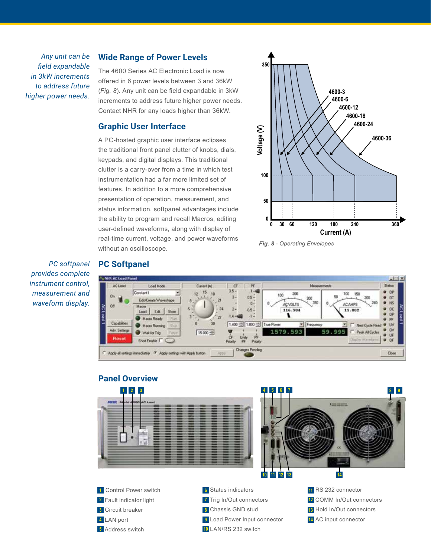*Any unit can be field expandable in 3kW increments to address future higher power needs.*

#### **Wide Range of Power Levels**

The 4600 Series AC Electronic Load is now offered in 6 power levels between 3 and 36kW (*Fig. 8*). Any unit can be field expandable in 3kW increments to address future higher power needs. Contact NHR for any loads higher than 36kW.

#### **Graphic User Interface**

A PC-hosted graphic user interface eclipses the traditional front panel clutter of knobs, dials, keypads, and digital displays. This traditional clutter is a carry-over from a time in which test instrumentation had a far more limited set of features. In addition to a more comprehensive presentation of operation, measurement, and status information, softpanel advantages include the ability to program and recall Macros, editing user-defined waveforms, along with display of real-time current, voltage, and power waveforms without an oscilloscope.



*Fig. 8 - Operating Envelopes*

*PC softpanel provides complete instrument control, measurement and waveform display.*

### **PC Softpanel**